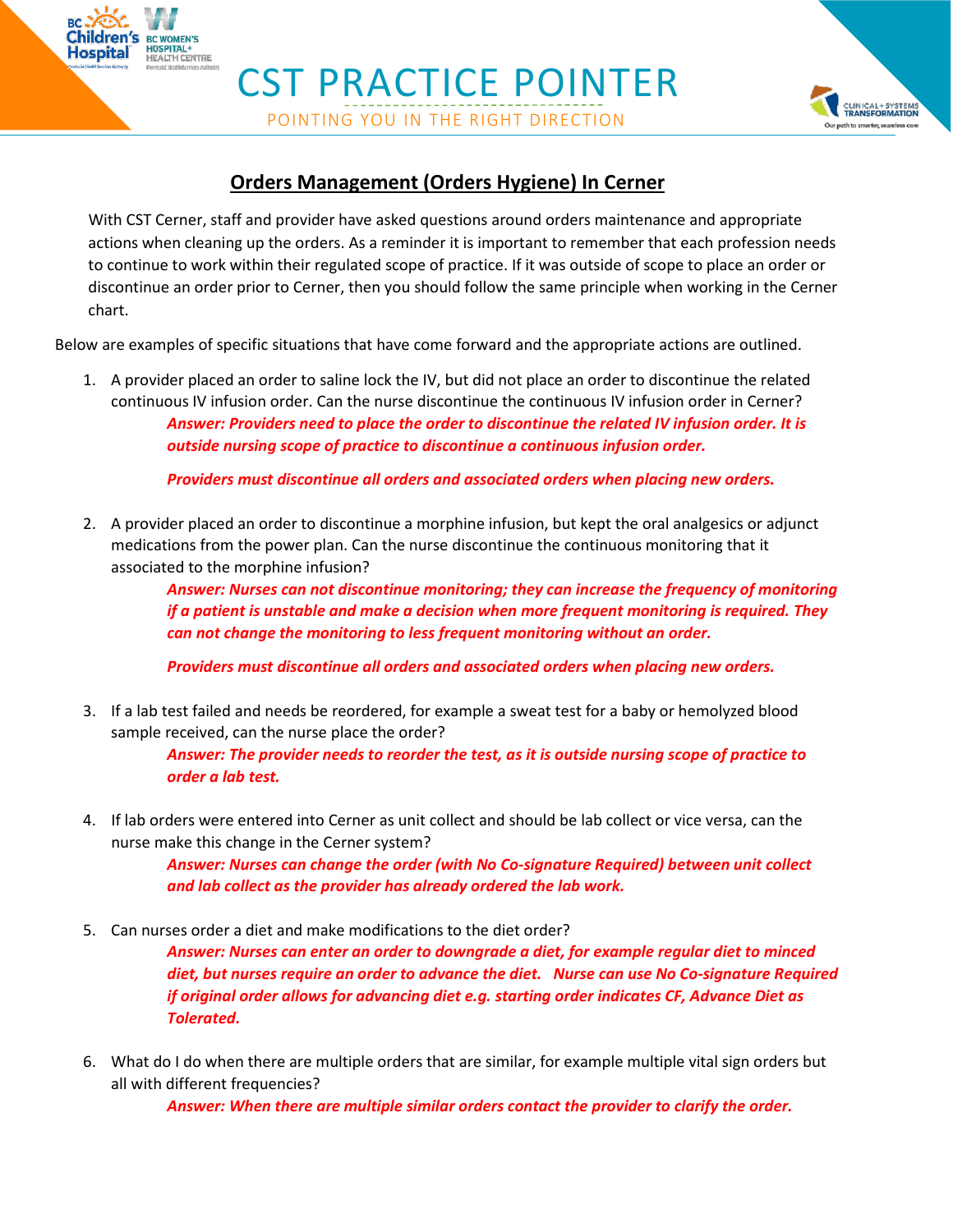CST PRACTICE POINTER POINTING YOU IN THE RIGHT DIRECTION

**BC WOMEN'S OSPITAL+<br>EALTH CENTRE** 



## **Orders Management (Orders Hygiene) In Cerner**

With CST Cerner, staff and provider have asked questions around orders maintenance and appropriate actions when cleaning up the orders. As a reminder it is important to remember that each profession needs to continue to work within their regulated scope of practice. If it was outside of scope to place an order or discontinue an order prior to Cerner, then you should follow the same principle when working in the Cerner chart.

Below are examples of specific situations that have come forward and the appropriate actions are outlined.

1. A provider placed an order to saline lock the IV, but did not place an order to discontinue the related continuous IV infusion order. Can the nurse discontinue the continuous IV infusion order in Cerner? *Answer: Providers need to place the order to discontinue the related IV infusion order. It is outside nursing scope of practice to discontinue a continuous infusion order.*

*Providers must discontinue all orders and associated orders when placing new orders.*

2. A provider placed an order to discontinue a morphine infusion, but kept the oral analgesics or adjunct medications from the power plan. Can the nurse discontinue the continuous monitoring that it associated to the morphine infusion?

> *Answer: Nurses can not discontinue monitoring; they can increase the frequency of monitoring if a patient is unstable and make a decision when more frequent monitoring is required. They can not change the monitoring to less frequent monitoring without an order.*

*Providers must discontinue all orders and associated orders when placing new orders.*

3. If a lab test failed and needs be reordered, for example a sweat test for a baby or hemolyzed blood sample received, can the nurse place the order?

> *Answer: The provider needs to reorder the test, as it is outside nursing scope of practice to order a lab test.*

4. If lab orders were entered into Cerner as unit collect and should be lab collect or vice versa, can the nurse make this change in the Cerner system?

> *Answer: Nurses can change the order (with No Co-signature Required) between unit collect and lab collect as the provider has already ordered the lab work.*

5. Can nurses order a diet and make modifications to the diet order?

*Answer: Nurses can enter an order to downgrade a diet, for example regular diet to minced diet, but nurses require an order to advance the diet. Nurse can use No Co-signature Required if original order allows for advancing diet e.g. starting order indicates CF, Advance Diet as Tolerated.*

6. What do I do when there are multiple orders that are similar, for example multiple vital sign orders but all with different frequencies?

*Answer: When there are multiple similar orders contact the provider to clarify the order.*